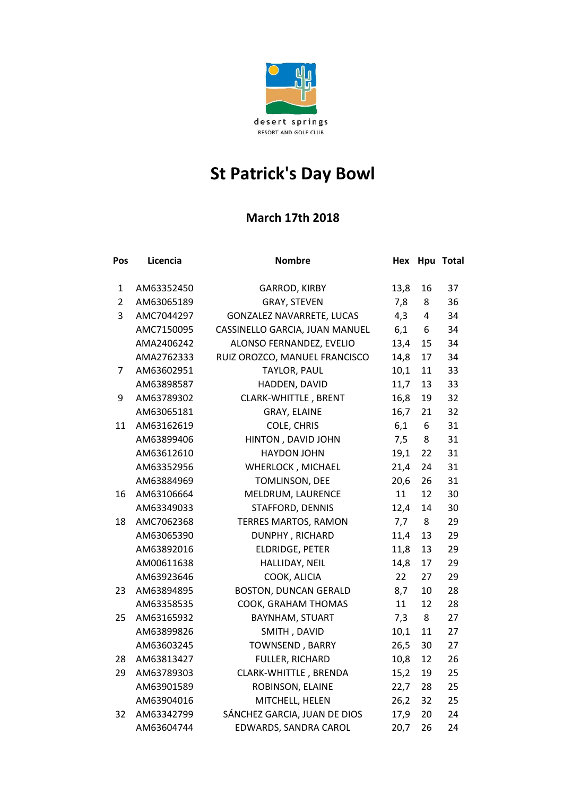

## **St Patrick's Day Bowl**

## **March 17th 2018**

| Pos            | Licencia   | <b>Nombre</b>                    | Hex  |                | Hpu Total |
|----------------|------------|----------------------------------|------|----------------|-----------|
| $\mathbf{1}$   | AM63352450 | <b>GARROD, KIRBY</b>             | 13,8 | 16             | 37        |
| $\overline{2}$ | AM63065189 | GRAY, STEVEN                     | 7,8  | 8              | 36        |
| 3              | AMC7044297 | <b>GONZALEZ NAVARRETE, LUCAS</b> | 4,3  | $\overline{4}$ | 34        |
|                | AMC7150095 | CASSINELLO GARCIA, JUAN MANUEL   | 6,1  | 6              | 34        |
|                | AMA2406242 | ALONSO FERNANDEZ, EVELIO         | 13,4 | 15             | 34        |
|                | AMA2762333 | RUIZ OROZCO, MANUEL FRANCISCO    | 14,8 | 17             | 34        |
| 7              | AM63602951 | TAYLOR, PAUL                     | 10,1 | 11             | 33        |
|                | AM63898587 | HADDEN, DAVID                    | 11,7 | 13             | 33        |
| 9              | AM63789302 | <b>CLARK-WHITTLE, BRENT</b>      | 16,8 | 19             | 32        |
|                | AM63065181 | GRAY, ELAINE                     | 16,7 | 21             | 32        |
| 11             | AM63162619 | COLE, CHRIS                      | 6,1  | 6              | 31        |
|                | AM63899406 | HINTON, DAVID JOHN               | 7,5  | 8              | 31        |
|                | AM63612610 | <b>HAYDON JOHN</b>               | 19,1 | 22             | 31        |
|                | AM63352956 | WHERLOCK, MICHAEL                | 21,4 | 24             | 31        |
|                | AM63884969 | TOMLINSON, DEE                   | 20,6 | 26             | 31        |
| 16             | AM63106664 | MELDRUM, LAURENCE                | 11   | 12             | 30        |
|                | AM63349033 | STAFFORD, DENNIS                 | 12,4 | 14             | 30        |
| 18             | AMC7062368 | <b>TERRES MARTOS, RAMON</b>      | 7,7  | 8              | 29        |
|                | AM63065390 | DUNPHY, RICHARD                  | 11,4 | 13             | 29        |
|                | AM63892016 | <b>ELDRIDGE, PETER</b>           | 11,8 | 13             | 29        |
|                | AM00611638 | HALLIDAY, NEIL                   | 14,8 | 17             | 29        |
|                | AM63923646 | COOK, ALICIA                     | 22   | 27             | 29        |
| 23             | AM63894895 | <b>BOSTON, DUNCAN GERALD</b>     | 8,7  | 10             | 28        |
|                | AM63358535 | COOK, GRAHAM THOMAS              | 11   | 12             | 28        |
| 25             | AM63165932 | <b>BAYNHAM, STUART</b>           | 7,3  | 8              | 27        |
|                | AM63899826 | SMITH, DAVID                     | 10,1 | 11             | 27        |
|                | AM63603245 | <b>TOWNSEND, BARRY</b>           | 26,5 | 30             | 27        |
| 28             | AM63813427 | FULLER, RICHARD                  | 10,8 | 12             | 26        |
| 29             | AM63789303 | CLARK-WHITTLE, BRENDA            | 15,2 | 19             | 25        |
|                | AM63901589 | ROBINSON, ELAINE                 | 22,7 | 28             | 25        |
|                | AM63904016 | MITCHELL, HELEN                  | 26,2 | 32             | 25        |
| 32             | AM63342799 | SÁNCHEZ GARCIA, JUAN DE DIOS     | 17,9 | 20             | 24        |
|                | AM63604744 | EDWARDS, SANDRA CAROL            | 20,7 | 26             | 24        |